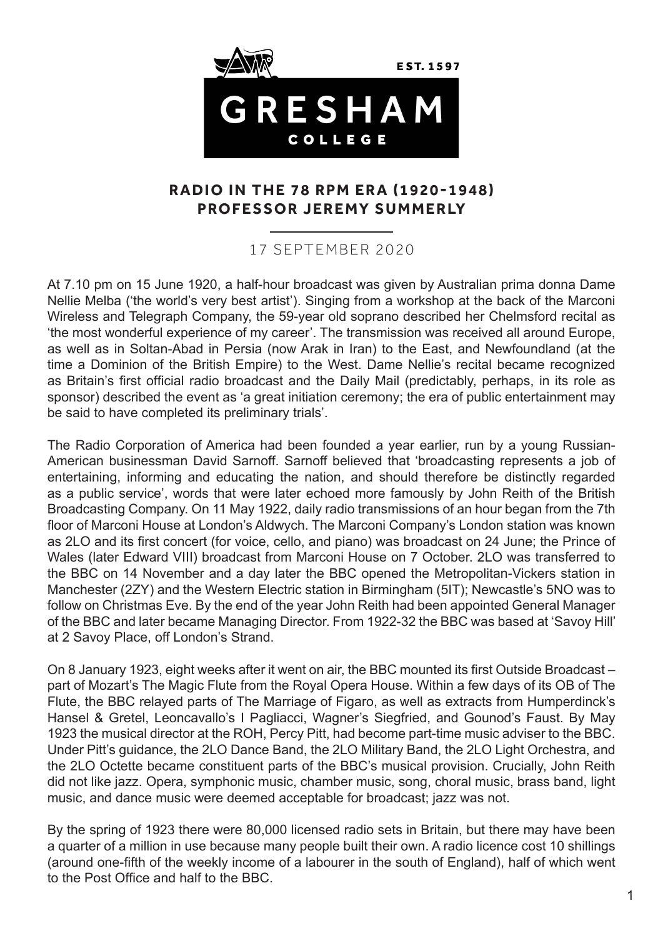

## **RADIO IN THE 78 RPM ERA (1920-1948) PROFESSOR JEREMY SUMMERLY**

## 17 SEPTEMBER 2020

At 7.10 pm on 15 June 1920, a half-hour broadcast was given by Australian prima donna Dame Nellie Melba ('the world's very best artist'). Singing from a workshop at the back of the Marconi Wireless and Telegraph Company, the 59-year old soprano described her Chelmsford recital as 'the most wonderful experience of my career'. The transmission was received all around Europe, as well as in Soltan-Abad in Persia (now Arak in Iran) to the East, and Newfoundland (at the time a Dominion of the British Empire) to the West. Dame Nellie's recital became recognized as Britain's first official radio broadcast and the Daily Mail (predictably, perhaps, in its role as sponsor) described the event as 'a great initiation ceremony; the era of public entertainment may be said to have completed its preliminary trials'.

The Radio Corporation of America had been founded a year earlier, run by a young Russian-American businessman David Sarnoff. Sarnoff believed that 'broadcasting represents a job of entertaining, informing and educating the nation, and should therefore be distinctly regarded as a public service', words that were later echoed more famously by John Reith of the British Broadcasting Company. On 11 May 1922, daily radio transmissions of an hour began from the 7th floor of Marconi House at London's Aldwych. The Marconi Company's London station was known as 2LO and its first concert (for voice, cello, and piano) was broadcast on 24 June; the Prince of Wales (later Edward VIII) broadcast from Marconi House on 7 October. 2LO was transferred to the BBC on 14 November and a day later the BBC opened the Metropolitan-Vickers station in Manchester (2ZY) and the Western Electric station in Birmingham (5IT); Newcastle's 5NO was to follow on Christmas Eve. By the end of the year John Reith had been appointed General Manager of the BBC and later became Managing Director. From 1922-32 the BBC was based at 'Savoy Hill' at 2 Savoy Place, off London's Strand.

On 8 January 1923, eight weeks after it went on air, the BBC mounted its first Outside Broadcast – part of Mozart's The Magic Flute from the Royal Opera House. Within a few days of its OB of The Flute, the BBC relayed parts of The Marriage of Figaro, as well as extracts from Humperdinck's Hansel & Gretel, Leoncavallo's I Pagliacci, Wagner's Siegfried, and Gounod's Faust. By May 1923 the musical director at the ROH, Percy Pitt, had become part-time music adviser to the BBC. Under Pitt's guidance, the 2LO Dance Band, the 2LO Military Band, the 2LO Light Orchestra, and the 2LO Octette became constituent parts of the BBC's musical provision. Crucially, John Reith did not like jazz. Opera, symphonic music, chamber music, song, choral music, brass band, light music, and dance music were deemed acceptable for broadcast; jazz was not.

By the spring of 1923 there were 80,000 licensed radio sets in Britain, but there may have been a quarter of a million in use because many people built their own. A radio licence cost 10 shillings (around one-fifth of the weekly income of a labourer in the south of England), half of which went to the Post Office and half to the BBC.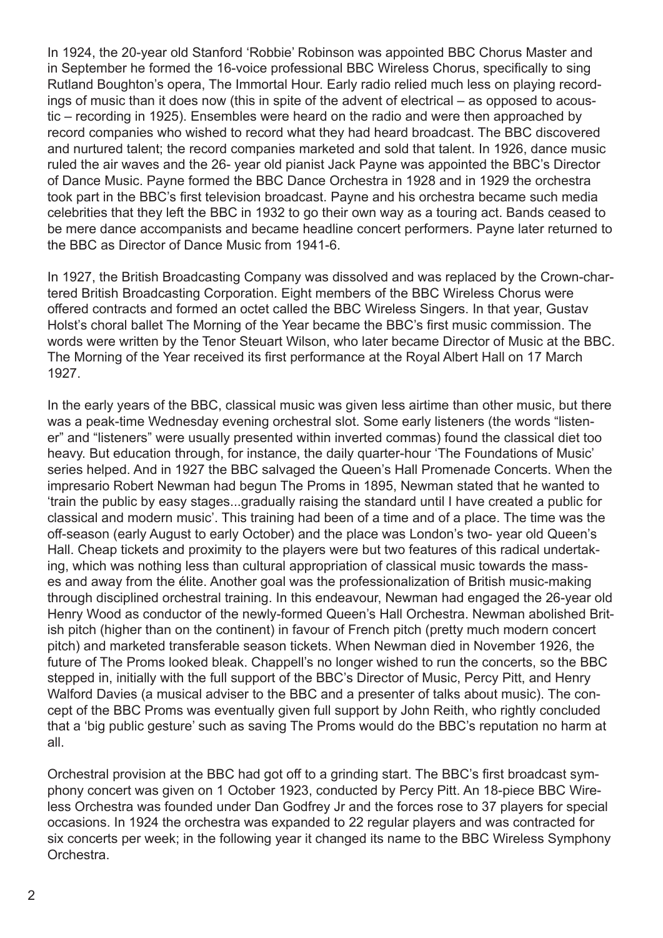In 1924, the 20-year old Stanford 'Robbie' Robinson was appointed BBC Chorus Master and in September he formed the 16-voice professional BBC Wireless Chorus, specifically to sing Rutland Boughton's opera, The Immortal Hour. Early radio relied much less on playing recordings of music than it does now (this in spite of the advent of electrical – as opposed to acoustic – recording in 1925). Ensembles were heard on the radio and were then approached by record companies who wished to record what they had heard broadcast. The BBC discovered and nurtured talent; the record companies marketed and sold that talent. In 1926, dance music ruled the air waves and the 26- year old pianist Jack Payne was appointed the BBC's Director of Dance Music. Payne formed the BBC Dance Orchestra in 1928 and in 1929 the orchestra took part in the BBC's first television broadcast. Payne and his orchestra became such media celebrities that they left the BBC in 1932 to go their own way as a touring act. Bands ceased to be mere dance accompanists and became headline concert performers. Payne later returned to the BBC as Director of Dance Music from 1941-6.

In 1927, the British Broadcasting Company was dissolved and was replaced by the Crown-chartered British Broadcasting Corporation. Eight members of the BBC Wireless Chorus were offered contracts and formed an octet called the BBC Wireless Singers. In that year, Gustav Holst's choral ballet The Morning of the Year became the BBC's first music commission. The words were written by the Tenor Steuart Wilson, who later became Director of Music at the BBC. The Morning of the Year received its first performance at the Royal Albert Hall on 17 March 1927.

In the early years of the BBC, classical music was given less airtime than other music, but there was a peak-time Wednesday evening orchestral slot. Some early listeners (the words "listener" and "listeners" were usually presented within inverted commas) found the classical diet too heavy. But education through, for instance, the daily quarter-hour 'The Foundations of Music' series helped. And in 1927 the BBC salvaged the Queen's Hall Promenade Concerts. When the impresario Robert Newman had begun The Proms in 1895, Newman stated that he wanted to 'train the public by easy stages...gradually raising the standard until I have created a public for classical and modern music'. This training had been of a time and of a place. The time was the off-season (early August to early October) and the place was London's two- year old Queen's Hall. Cheap tickets and proximity to the players were but two features of this radical undertaking, which was nothing less than cultural appropriation of classical music towards the masses and away from the élite. Another goal was the professionalization of British music-making through disciplined orchestral training. In this endeavour, Newman had engaged the 26-year old Henry Wood as conductor of the newly-formed Queen's Hall Orchestra. Newman abolished British pitch (higher than on the continent) in favour of French pitch (pretty much modern concert pitch) and marketed transferable season tickets. When Newman died in November 1926, the future of The Proms looked bleak. Chappell's no longer wished to run the concerts, so the BBC stepped in, initially with the full support of the BBC's Director of Music, Percy Pitt, and Henry Walford Davies (a musical adviser to the BBC and a presenter of talks about music). The concept of the BBC Proms was eventually given full support by John Reith, who rightly concluded that a 'big public gesture' such as saving The Proms would do the BBC's reputation no harm at all.

Orchestral provision at the BBC had got off to a grinding start. The BBC's first broadcast symphony concert was given on 1 October 1923, conducted by Percy Pitt. An 18-piece BBC Wireless Orchestra was founded under Dan Godfrey Jr and the forces rose to 37 players for special occasions. In 1924 the orchestra was expanded to 22 regular players and was contracted for six concerts per week; in the following year it changed its name to the BBC Wireless Symphony Orchestra.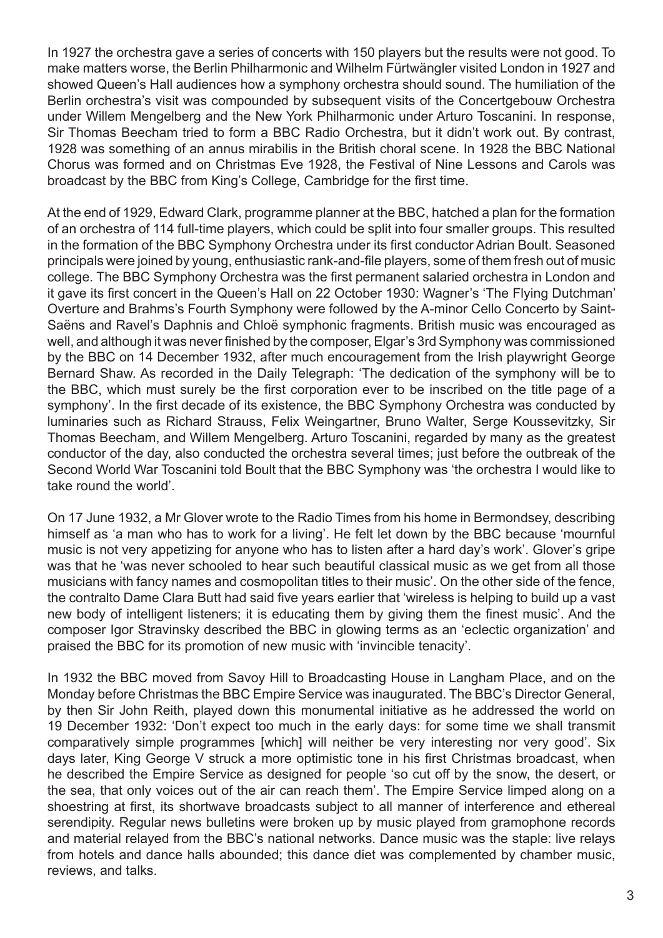In 1927 the orchestra gave a series of concerts with 150 players but the results were not good. To make matters worse, the Berlin Philharmonic and Wilhelm Fürtwängler visited London in 1927 and showed Queen's Hall audiences how a symphony orchestra should sound. The humiliation of the Berlin orchestra's visit was compounded by subsequent visits of the Concertgebouw Orchestra under Willem Mengelberg and the New York Philharmonic under Arturo Toscanini. In response, Sir Thomas Beecham tried to form a BBC Radio Orchestra, but it didn't work out. By contrast, 1928 was something of an annus mirabilis in the British choral scene. In 1928 the BBC National Chorus was formed and on Christmas Eve 1928, the Festival of Nine Lessons and Carols was broadcast by the BBC from King's College, Cambridge for the first time.

At the end of 1929, Edward Clark, programme planner at the BBC, hatched a plan for the formation of an orchestra of 114 full-time players, which could be split into four smaller groups. This resulted in the formation of the BBC Symphony Orchestra under its first conductor Adrian Boult. Seasoned principals were joined by young, enthusiastic rank-and-file players, some of them fresh out of music college. The BBC Symphony Orchestra was the first permanent salaried orchestra in London and it gave its first concert in the Queen's Hall on 22 October 1930: Wagner's 'The Flying Dutchman' Overture and Brahms's Fourth Symphony were followed by the A-minor Cello Concerto by Saint-Saëns and Ravel's Daphnis and Chloë symphonic fragments. British music was encouraged as well, and although it was never finished by the composer, Elgar's 3rd Symphony was commissioned by the BBC on 14 December 1932, after much encouragement from the Irish playwright George Bernard Shaw. As recorded in the Daily Telegraph: 'The dedication of the symphony will be to the BBC, which must surely be the first corporation ever to be inscribed on the title page of a symphony'. In the first decade of its existence, the BBC Symphony Orchestra was conducted by luminaries such as Richard Strauss, Felix Weingartner, Bruno Walter, Serge Koussevitzky, Sir Thomas Beecham, and Willem Mengelberg. Arturo Toscanini, regarded by many as the greatest conductor of the day, also conducted the orchestra several times; just before the outbreak of the Second World War Toscanini told Boult that the BBC Symphony was 'the orchestra I would like to take round the world'.

On 17 June 1932, a Mr Glover wrote to the Radio Times from his home in Bermondsey, describing himself as 'a man who has to work for a living'. He felt let down by the BBC because 'mournful music is not very appetizing for anyone who has to listen after a hard day's work'. Glover's gripe was that he 'was never schooled to hear such beautiful classical music as we get from all those musicians with fancy names and cosmopolitan titles to their music'. On the other side of the fence, the contralto Dame Clara Butt had said five years earlier that 'wireless is helping to build up a vast new body of intelligent listeners; it is educating them by giving them the finest music'. And the composer Igor Stravinsky described the BBC in glowing terms as an 'eclectic organization' and praised the BBC for its promotion of new music with 'invincible tenacity'.

In 1932 the BBC moved from Savoy Hill to Broadcasting House in Langham Place, and on the Monday before Christmas the BBC Empire Service was inaugurated. The BBC's Director General, by then Sir John Reith, played down this monumental initiative as he addressed the world on 19 December 1932: 'Don't expect too much in the early days: for some time we shall transmit comparatively simple programmes [which] will neither be very interesting nor very good'. Six days later, King George V struck a more optimistic tone in his first Christmas broadcast, when he described the Empire Service as designed for people 'so cut off by the snow, the desert, or the sea, that only voices out of the air can reach them'. The Empire Service limped along on a shoestring at first, its shortwave broadcasts subject to all manner of interference and ethereal serendipity. Regular news bulletins were broken up by music played from gramophone records and material relayed from the BBC's national networks. Dance music was the staple: live relays from hotels and dance halls abounded; this dance diet was complemented by chamber music, reviews, and talks.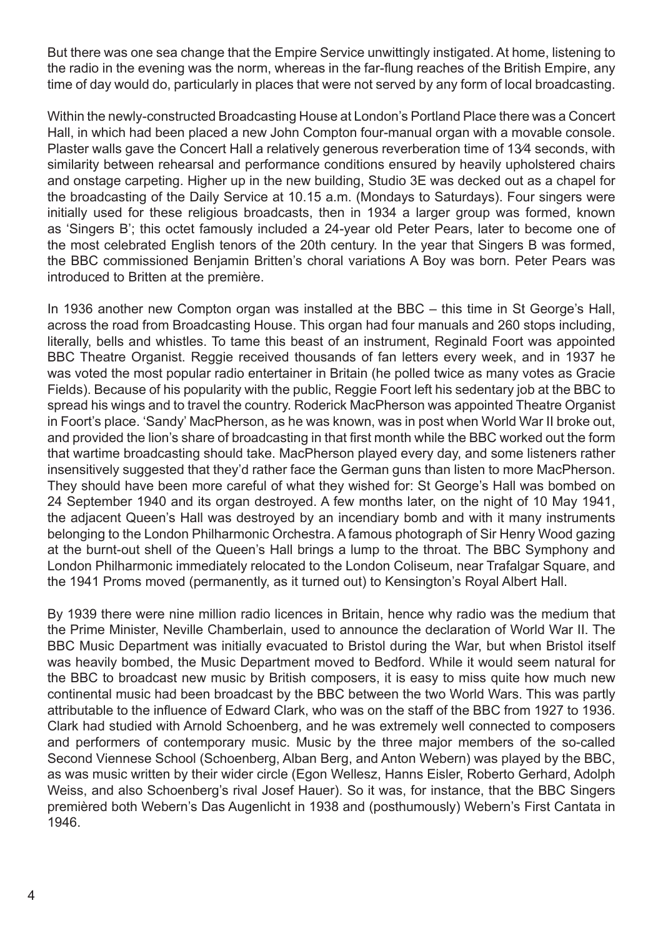But there was one sea change that the Empire Service unwittingly instigated. At home, listening to the radio in the evening was the norm, whereas in the far-flung reaches of the British Empire, any time of day would do, particularly in places that were not served by any form of local broadcasting.

Within the newly-constructed Broadcasting House at London's Portland Place there was a Concert Hall, in which had been placed a new John Compton four-manual organ with a movable console. Plaster walls gave the Concert Hall a relatively generous reverberation time of 13⁄4 seconds, with similarity between rehearsal and performance conditions ensured by heavily upholstered chairs and onstage carpeting. Higher up in the new building, Studio 3E was decked out as a chapel for the broadcasting of the Daily Service at 10.15 a.m. (Mondays to Saturdays). Four singers were initially used for these religious broadcasts, then in 1934 a larger group was formed, known as 'Singers B'; this octet famously included a 24-year old Peter Pears, later to become one of the most celebrated English tenors of the 20th century. In the year that Singers B was formed, the BBC commissioned Benjamin Britten's choral variations A Boy was born. Peter Pears was introduced to Britten at the première.

In 1936 another new Compton organ was installed at the BBC – this time in St George's Hall, across the road from Broadcasting House. This organ had four manuals and 260 stops including, literally, bells and whistles. To tame this beast of an instrument, Reginald Foort was appointed BBC Theatre Organist. Reggie received thousands of fan letters every week, and in 1937 he was voted the most popular radio entertainer in Britain (he polled twice as many votes as Gracie Fields). Because of his popularity with the public, Reggie Foort left his sedentary job at the BBC to spread his wings and to travel the country. Roderick MacPherson was appointed Theatre Organist in Foort's place. 'Sandy' MacPherson, as he was known, was in post when World War II broke out, and provided the lion's share of broadcasting in that first month while the BBC worked out the form that wartime broadcasting should take. MacPherson played every day, and some listeners rather insensitively suggested that they'd rather face the German guns than listen to more MacPherson. They should have been more careful of what they wished for: St George's Hall was bombed on 24 September 1940 and its organ destroyed. A few months later, on the night of 10 May 1941, the adjacent Queen's Hall was destroyed by an incendiary bomb and with it many instruments belonging to the London Philharmonic Orchestra. A famous photograph of Sir Henry Wood gazing at the burnt-out shell of the Queen's Hall brings a lump to the throat. The BBC Symphony and London Philharmonic immediately relocated to the London Coliseum, near Trafalgar Square, and the 1941 Proms moved (permanently, as it turned out) to Kensington's Royal Albert Hall.

By 1939 there were nine million radio licences in Britain, hence why radio was the medium that the Prime Minister, Neville Chamberlain, used to announce the declaration of World War II. The BBC Music Department was initially evacuated to Bristol during the War, but when Bristol itself was heavily bombed, the Music Department moved to Bedford. While it would seem natural for the BBC to broadcast new music by British composers, it is easy to miss quite how much new continental music had been broadcast by the BBC between the two World Wars. This was partly attributable to the influence of Edward Clark, who was on the staff of the BBC from 1927 to 1936. Clark had studied with Arnold Schoenberg, and he was extremely well connected to composers and performers of contemporary music. Music by the three major members of the so-called Second Viennese School (Schoenberg, Alban Berg, and Anton Webern) was played by the BBC, as was music written by their wider circle (Egon Wellesz, Hanns Eisler, Roberto Gerhard, Adolph Weiss, and also Schoenberg's rival Josef Hauer). So it was, for instance, that the BBC Singers premièred both Webern's Das Augenlicht in 1938 and (posthumously) Webern's First Cantata in 1946.